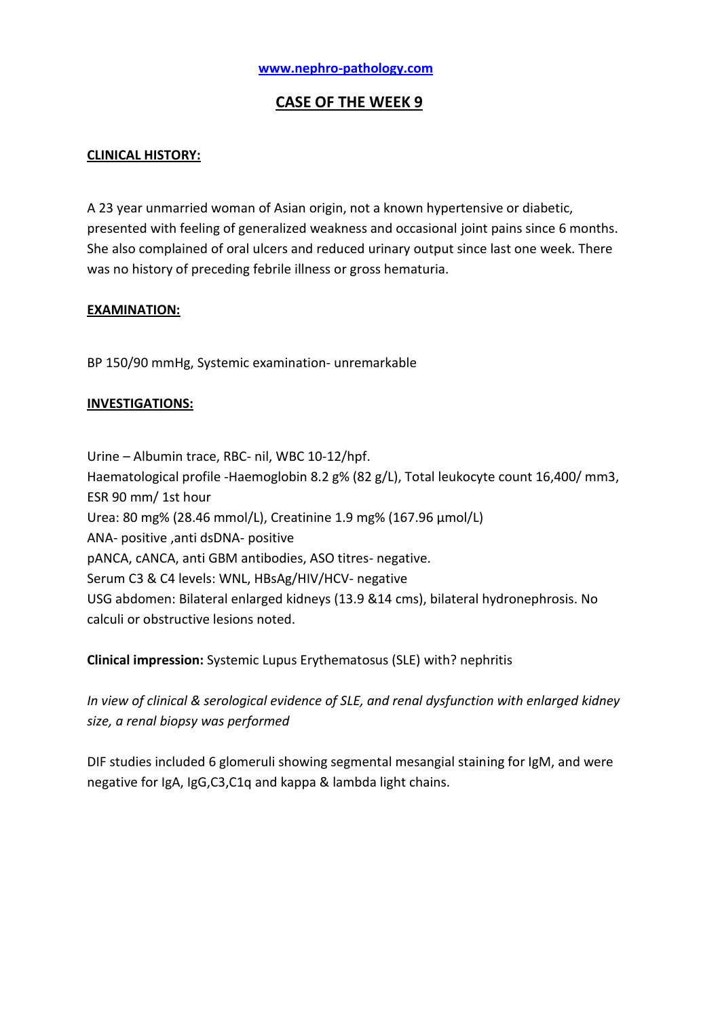# **CASE OF THE WEEK 9**

## **CLINICAL HISTORY:**

A 23 year unmarried woman of Asian origin, not a known hypertensive or diabetic, presented with feeling of generalized weakness and occasional joint pains since 6 months. She also complained of oral ulcers and reduced urinary output since last one week. There was no history of preceding febrile illness or gross hematuria.

## **EXAMINATION:**

BP 150/90 mmHg, Systemic examination- unremarkable

## **INVESTIGATIONS:**

Urine – Albumin trace, RBC- nil, WBC 10-12/hpf. Haematological profile -Haemoglobin 8.2 g% (82 g/L), Total leukocyte count 16,400/ mm3, ESR 90 mm/ 1st hour Urea: 80 mg% (28.46 mmol/L), Creatinine 1.9 mg% (167.96 µmol/L) ANA- positive ,anti dsDNA- positive pANCA, cANCA, anti GBM antibodies, ASO titres- negative. Serum C3 & C4 levels: WNL, HBsAg/HIV/HCV- negative USG abdomen: Bilateral enlarged kidneys (13.9 &14 cms), bilateral hydronephrosis. No calculi or obstructive lesions noted.

**Clinical impression:** Systemic Lupus Erythematosus (SLE) with? nephritis

*In view of clinical & serological evidence of SLE, and renal dysfunction with enlarged kidney size, a renal biopsy was performed*

DIF studies included 6 glomeruli showing segmental mesangial staining for IgM, and were negative for IgA, IgG,C3,C1q and kappa & lambda light chains.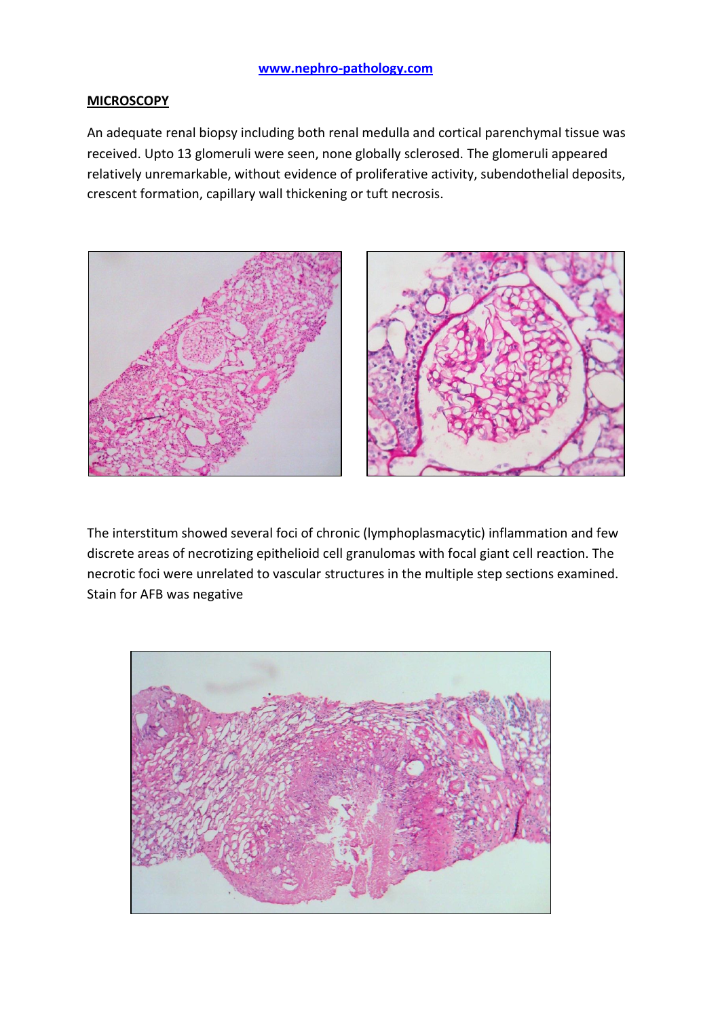#### **MICROSCOPY**

An adequate renal biopsy including both renal medulla and cortical parenchymal tissue was received. Upto 13 glomeruli were seen, none globally sclerosed. The glomeruli appeared relatively unremarkable, without evidence of proliferative activity, subendothelial deposits, crescent formation, capillary wall thickening or tuft necrosis.



The interstitum showed several foci of chronic (lymphoplasmacytic) inflammation and few discrete areas of necrotizing epithelioid cell granulomas with focal giant cell reaction. The necrotic foci were unrelated to vascular structures in the multiple step sections examined. Stain for AFB was negative

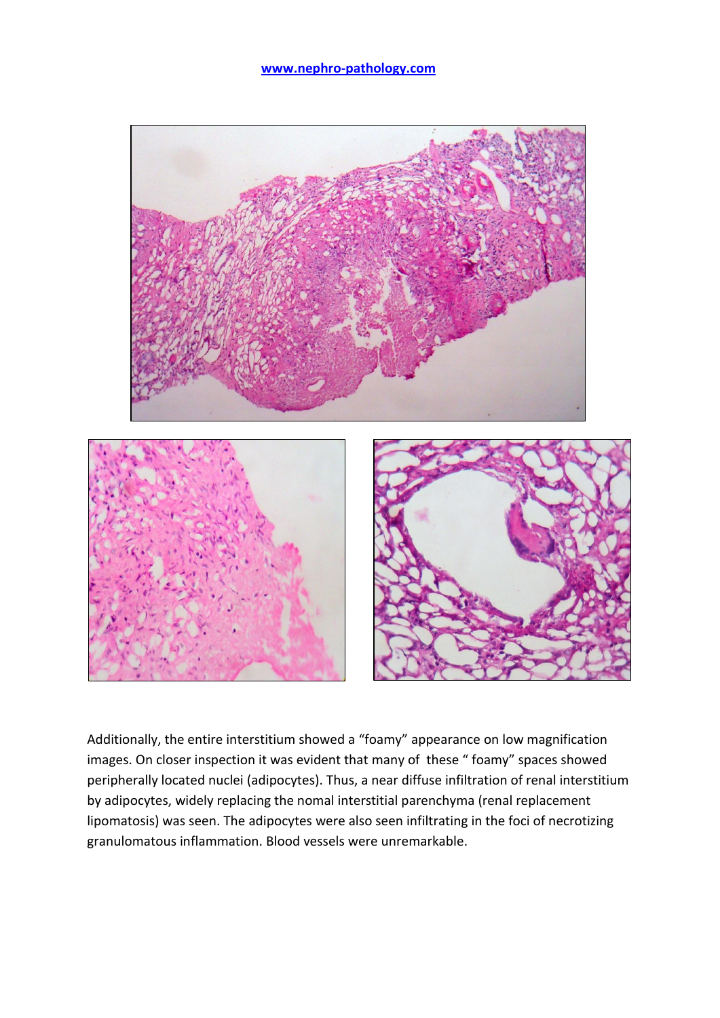

Additionally, the entire interstitium showed a "foamy" appearance on low magnification images. On closer inspection it was evident that many of these " foamy" spaces showed peripherally located nuclei (adipocytes). Thus, a near diffuse infiltration of renal interstitium by adipocytes, widely replacing the nomal interstitial parenchyma (renal replacement lipomatosis) was seen. The adipocytes were also seen infiltrating in the foci of necrotizing granulomatous inflammation. Blood vessels were unremarkable.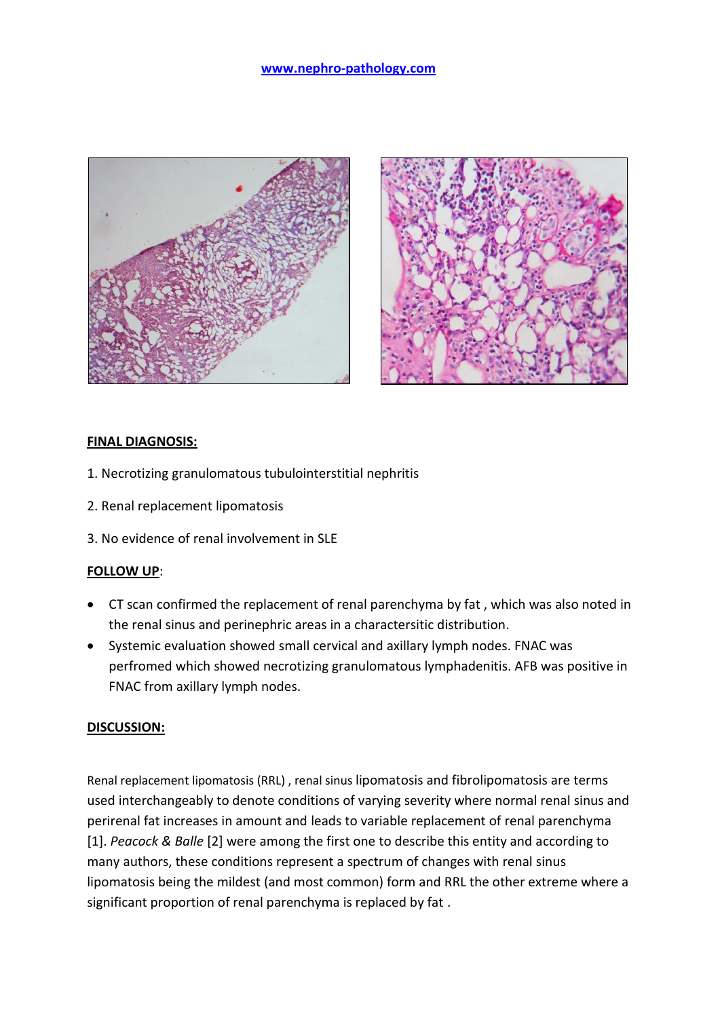



## **FINAL DIAGNOSIS:**

- 1. Necrotizing granulomatous tubulointerstitial nephritis
- 2. Renal replacement lipomatosis
- 3. No evidence of renal involvement in SLE

## **FOLLOW UP**:

- CT scan confirmed the replacement of renal parenchyma by fat , which was also noted in the renal sinus and perinephric areas in a charactersitic distribution.
- Systemic evaluation showed small cervical and axillary lymph nodes. FNAC was perfromed which showed necrotizing granulomatous lymphadenitis. AFB was positive in FNAC from axillary lymph nodes.

# **DISCUSSION:**

Renal replacement lipomatosis (RRL) , renal sinus lipomatosis and fibrolipomatosis are terms used interchangeably to denote conditions of varying severity where normal renal sinus and perirenal fat increases in amount and leads to variable replacement of renal parenchyma [1]. *Peacock & Balle* [2] were among the first one to describe this entity and according to many authors, these conditions represent a spectrum of changes with renal sinus lipomatosis being the mildest (and most common) form and RRL the other extreme where a significant proportion of renal parenchyma is replaced by fat .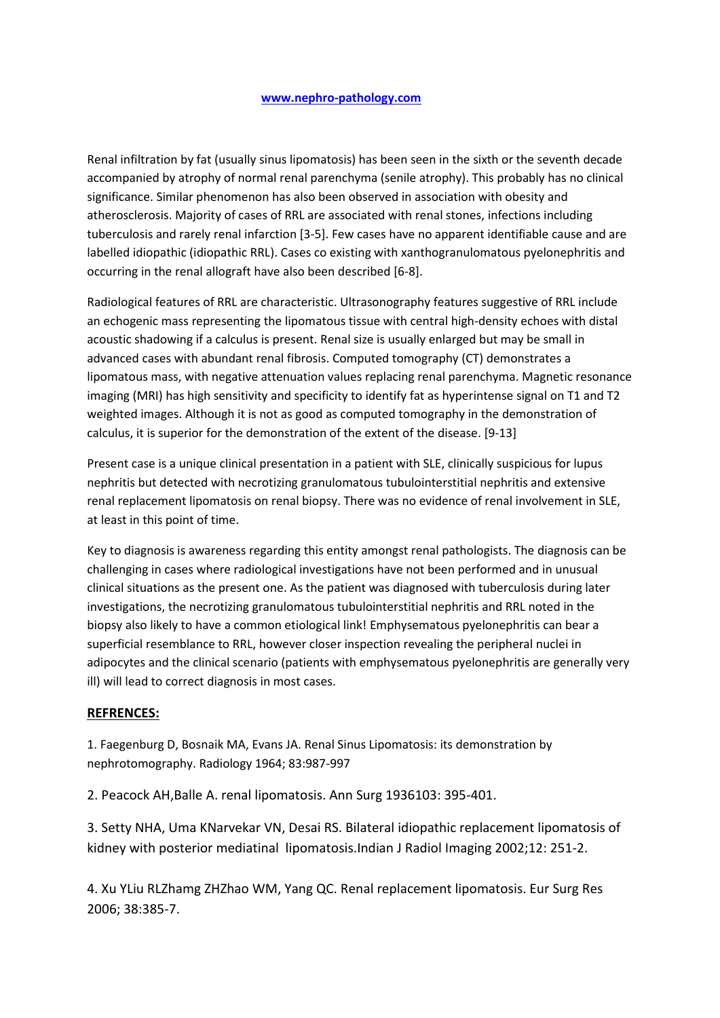Renal infiltration by fat (usually sinus lipomatosis) has been seen in the sixth or the seventh decade accompanied by atrophy of normal renal parenchyma (senile atrophy). This probably has no clinical significance. Similar phenomenon has also been observed in association with obesity and atherosclerosis. Majority of cases of RRL are associated with renal stones, infections including tuberculosis and rarely renal infarction [3-5]. Few cases have no apparent identifiable cause and are labelled idiopathic (idiopathic RRL). Cases co existing with xanthogranulomatous pyelonephritis and occurring in the renal allograft have also been described [6-8].

Radiological features of RRL are characteristic. Ultrasonography features suggestive of RRL include an echogenic mass representing the lipomatous tissue with central high-density echoes with distal acoustic shadowing if a calculus is present. Renal size is usually enlarged but may be small in advanced cases with abundant renal fibrosis. Computed tomography (CT) demonstrates a lipomatous mass, with negative attenuation values replacing renal parenchyma. Magnetic resonance imaging (MRI) has high sensitivity and specificity to identify fat as hyperintense signal on T1 and T2 weighted images. Although it is not as good as computed tomography in the demonstration of calculus, it is superior for the demonstration of the extent of the disease. [9-13]

Present case is a unique clinical presentation in a patient with SLE, clinically suspicious for lupus nephritis but detected with necrotizing granulomatous tubulointerstitial nephritis and extensive renal replacement lipomatosis on renal biopsy. There was no evidence of renal involvement in SLE, at least in this point of time.

Key to diagnosis is awareness regarding this entity amongst renal pathologists. The diagnosis can be challenging in cases where radiological investigations have not been performed and in unusual clinical situations as the present one. As the patient was diagnosed with tuberculosis during later investigations, the necrotizing granulomatous tubulointerstitial nephritis and RRL noted in the biopsy also likely to have a common etiological link! Emphysematous pyelonephritis can bear a superficial resemblance to RRL, however closer inspection revealing the peripheral nuclei in adipocytes and the clinical scenario (patients with emphysematous pyelonephritis are generally very ill) will lead to correct diagnosis in most cases.

## **REFRENCES:**

1. Faegenburg D, Bosnaik MA, Evans JA. Renal Sinus Lipomatosis: its demonstration by nephrotomography. Radiology 1964; 83:987-997

2. Peacock AH,Balle A. renal lipomatosis. Ann Surg 1936103: 395-401.

3. Setty NHA, Uma KNarvekar VN, Desai RS. Bilateral idiopathic replacement lipomatosis of kidney with posterior mediatinal lipomatosis.Indian J Radiol Imaging 2002;12: 251-2.

4. Xu YLiu RLZhamg ZHZhao WM, Yang QC. Renal replacement lipomatosis. Eur Surg Res 2006; 38:385-7.